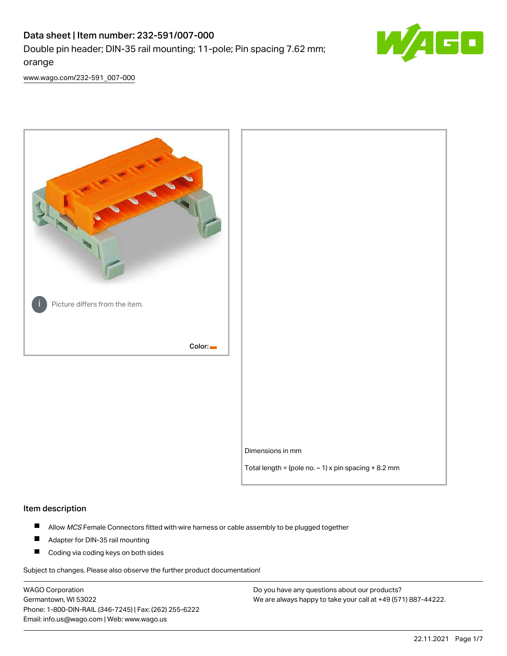# Data sheet | Item number: 232-591/007-000 Double pin header; DIN-35 rail mounting; 11-pole; Pin spacing 7.62 mm; orange



[www.wago.com/232-591\\_007-000](http://www.wago.com/232-591_007-000)



#### Item description

- $\blacksquare$ Allow MCS Female Connectors fitted with wire harness or cable assembly to be plugged together
- $\blacksquare$ Adapter for DIN-35 rail mounting
- $\blacksquare$ Coding via coding keys on both sides

Subject to changes. Please also observe the further product documentation!

WAGO Corporation Germantown, WI 53022 Phone: 1-800-DIN-RAIL (346-7245) | Fax: (262) 255-6222 Email: info.us@wago.com | Web: www.wago.us

Do you have any questions about our products? We are always happy to take your call at +49 (571) 887-44222.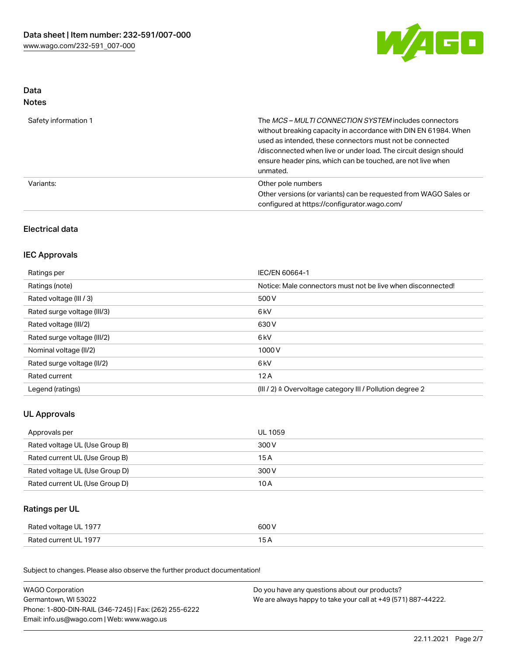

## Data Notes

| Safety information 1 | The <i>MCS – MULTI CONNECTION SYSTEM</i> includes connectors<br>without breaking capacity in accordance with DIN EN 61984. When<br>used as intended, these connectors must not be connected<br>/disconnected when live or under load. The circuit design should<br>ensure header pins, which can be touched, are not live when<br>unmated. |
|----------------------|--------------------------------------------------------------------------------------------------------------------------------------------------------------------------------------------------------------------------------------------------------------------------------------------------------------------------------------------|
| Variants:            | Other pole numbers<br>Other versions (or variants) can be requested from WAGO Sales or<br>configured at https://configurator.wago.com/                                                                                                                                                                                                     |

## Electrical data

## IEC Approvals

| Ratings per                 | IEC/EN 60664-1                                                        |
|-----------------------------|-----------------------------------------------------------------------|
| Ratings (note)              | Notice: Male connectors must not be live when disconnected!           |
| Rated voltage (III / 3)     | 500 V                                                                 |
| Rated surge voltage (III/3) | 6 <sub>kV</sub>                                                       |
| Rated voltage (III/2)       | 630 V                                                                 |
| Rated surge voltage (III/2) | 6 <sub>kV</sub>                                                       |
| Nominal voltage (II/2)      | 1000V                                                                 |
| Rated surge voltage (II/2)  | 6 <sub>kV</sub>                                                       |
| Rated current               | 12A                                                                   |
| Legend (ratings)            | $(III / 2)$ $\triangle$ Overvoltage category III / Pollution degree 2 |

## UL Approvals

| Approvals per                  | UL 1059 |
|--------------------------------|---------|
| Rated voltage UL (Use Group B) | 300 V   |
| Rated current UL (Use Group B) | 15 A    |
| Rated voltage UL (Use Group D) | 300 V   |
| Rated current UL (Use Group D) | 10 A    |

## Ratings per UL

| Rated voltage UL 1977 | 600 V |
|-----------------------|-------|
| Rated current UL 1977 |       |

Subject to changes. Please also observe the further product documentation!

| <b>WAGO Corporation</b>                                | Do you have any questions about our products?                 |  |
|--------------------------------------------------------|---------------------------------------------------------------|--|
| Germantown, WI 53022                                   | We are always happy to take your call at +49 (571) 887-44222. |  |
| Phone: 1-800-DIN-RAIL (346-7245)   Fax: (262) 255-6222 |                                                               |  |
| Email: info.us@wago.com   Web: www.wago.us             |                                                               |  |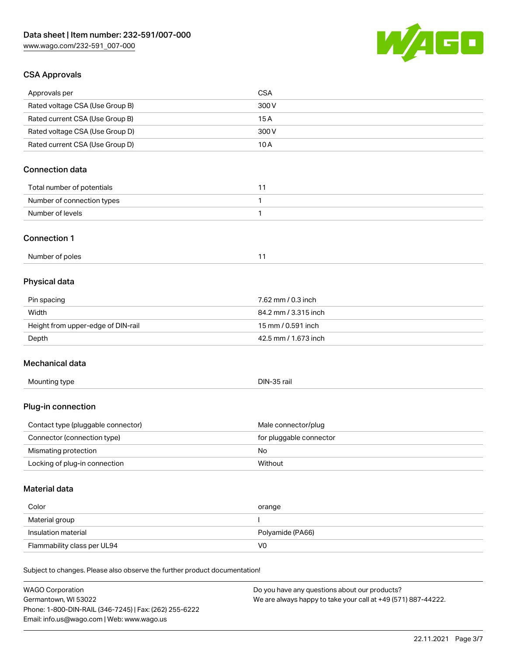

## CSA Approvals

| Approvals per                                                              | <b>CSA</b>                                    |
|----------------------------------------------------------------------------|-----------------------------------------------|
| Rated voltage CSA (Use Group B)                                            | 300 V                                         |
| Rated current CSA (Use Group B)                                            | 15A                                           |
| Rated voltage CSA (Use Group D)                                            | 300 V                                         |
| Rated current CSA (Use Group D)                                            | 10A                                           |
| <b>Connection data</b>                                                     |                                               |
| Total number of potentials                                                 | 11                                            |
| Number of connection types                                                 | 1                                             |
| Number of levels                                                           | $\mathbf{1}$                                  |
| <b>Connection 1</b>                                                        |                                               |
| Number of poles                                                            | 11                                            |
| Physical data                                                              |                                               |
| Pin spacing                                                                | 7.62 mm / 0.3 inch                            |
| Width                                                                      | 84.2 mm / 3.315 inch                          |
| Height from upper-edge of DIN-rail                                         | 15 mm / 0.591 inch                            |
| Depth                                                                      | 42.5 mm / 1.673 inch                          |
| Mechanical data                                                            |                                               |
| Mounting type                                                              | DIN-35 rail                                   |
| Plug-in connection                                                         |                                               |
| Contact type (pluggable connector)                                         | Male connector/plug                           |
| Connector (connection type)                                                | for pluggable connector                       |
| Mismating protection                                                       | No                                            |
| Locking of plug-in connection                                              | Without                                       |
| <b>Material data</b>                                                       |                                               |
| Color                                                                      | orange                                        |
| Material group                                                             |                                               |
| Insulation material                                                        | Polyamide (PA66)                              |
| Flammability class per UL94                                                | V <sub>0</sub>                                |
| Subject to changes. Please also observe the further product documentation! |                                               |
| <b>WAGO Corporation</b>                                                    | Do you have any questions about our products? |

Germantown, WI 53022 Phone: 1-800-DIN-RAIL (346-7245) | Fax: (262) 255-6222 Email: info.us@wago.com | Web: www.wago.us

We are always happy to take your call at +49 (571) 887-44222.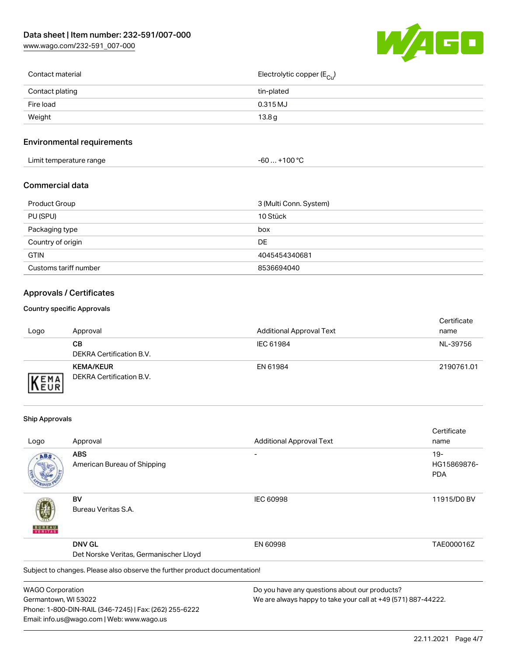[www.wago.com/232-591\\_007-000](http://www.wago.com/232-591_007-000)



| Contact material | Electrolytic copper (E <sub>Cu</sub> ) |
|------------------|----------------------------------------|
| Contact plating  | tin-plated                             |
| Fire load        | 0.315 MJ                               |
| Weight           | 13.8g                                  |
|                  |                                        |

## Environmental requirements

| Limit temperature range | ⊥+100 °ົ<br>-60 |
|-------------------------|-----------------|
|-------------------------|-----------------|

## Commercial data

| Product Group         | 3 (Multi Conn. System) |
|-----------------------|------------------------|
| PU (SPU)              | 10 Stück               |
| Packaging type        | box                    |
| Country of origin     | DE                     |
| <b>GTIN</b>           | 4045454340681          |
| Customs tariff number | 8536694040             |

## Approvals / Certificates

#### Country specific Approvals

| Logo               | Approval                                     | <b>Additional Approval Text</b> | Certificate<br>name |
|--------------------|----------------------------------------------|---------------------------------|---------------------|
|                    | CВ<br>DEKRA Certification B.V.               | IEC 61984                       | NL-39756            |
| EMA<br><b>NEUR</b> | <b>KEMA/KEUR</b><br>DEKRA Certification B.V. | EN 61984                        | 2190761.01          |

#### Ship Approvals

Email: info.us@wago.com | Web: www.wago.us

|                         |                                                                            |                                                               | Certificate |
|-------------------------|----------------------------------------------------------------------------|---------------------------------------------------------------|-------------|
| Logo                    | Approval                                                                   | <b>Additional Approval Text</b>                               | name        |
| ABS                     | <b>ABS</b>                                                                 |                                                               | $19-$       |
|                         | American Bureau of Shipping                                                |                                                               | HG15869876- |
|                         |                                                                            |                                                               | <b>PDA</b>  |
|                         | BV                                                                         | <b>IEC 60998</b>                                              | 11915/D0 BV |
|                         | Bureau Veritas S.A.                                                        |                                                               |             |
|                         | <b>DNV GL</b>                                                              | EN 60998                                                      | TAE000016Z  |
|                         | Det Norske Veritas, Germanischer Lloyd                                     |                                                               |             |
|                         | Subject to changes. Please also observe the further product documentation! |                                                               |             |
| <b>WAGO Corporation</b> |                                                                            | Do you have any questions about our products?                 |             |
| Germantown, WI 53022    |                                                                            | We are always happy to take your call at +49 (571) 887-44222. |             |
|                         | Phone: 1-800-DIN-RAIL (346-7245)   Fax: (262) 255-6222                     |                                                               |             |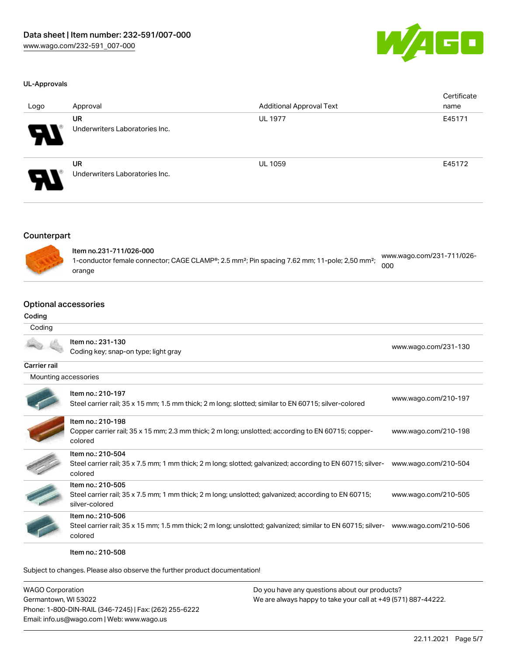

#### UL-Approvals

| Logo | Approval                                    | <b>Additional Approval Text</b> | Certificate<br>name |
|------|---------------------------------------------|---------------------------------|---------------------|
| Я.   | <b>UR</b><br>Underwriters Laboratories Inc. | <b>UL 1977</b>                  | E45171              |
| 9.   | <b>UR</b><br>Underwriters Laboratories Inc. | <b>UL 1059</b>                  | E45172              |

#### Counterpart



| ltem no.231-711/026-000                                                                                               | www.wago.com/231-711/026- |  |
|-----------------------------------------------------------------------------------------------------------------------|---------------------------|--|
| 1-conductor female connector; CAGE CLAMP®; 2.5 mm <sup>2</sup> ; Pin spacing 7.62 mm; 11-pole; 2,50 mm <sup>2</sup> ; | 000                       |  |
| orange                                                                                                                |                           |  |

#### Optional accessories

#### Codi

| Coding               |                                                                                                                                             |                      |
|----------------------|---------------------------------------------------------------------------------------------------------------------------------------------|----------------------|
| Coding               |                                                                                                                                             |                      |
|                      | Item no.: 231-130<br>Coding key; snap-on type; light gray                                                                                   | www.wago.com/231-130 |
| <b>Carrier rail</b>  |                                                                                                                                             |                      |
| Mounting accessories |                                                                                                                                             |                      |
|                      | Item no.: 210-197<br>Steel carrier rail; 35 x 15 mm; 1.5 mm thick; 2 m long; slotted; similar to EN 60715; silver-colored                   | www.wago.com/210-197 |
|                      | Item no.: 210-198<br>Copper carrier rail; 35 x 15 mm; 2.3 mm thick; 2 m long; unslotted; according to EN 60715; copper-<br>colored          | www.wago.com/210-198 |
|                      | Item no.: 210-504<br>Steel carrier rail; 35 x 7.5 mm; 1 mm thick; 2 m long; slotted; galvanized; according to EN 60715; silver-<br>colored  | www.wago.com/210-504 |
|                      | Item no.: 210-505<br>Steel carrier rail; 35 x 7.5 mm; 1 mm thick; 2 m long; unslotted; galvanized; according to EN 60715;<br>silver-colored | www.wago.com/210-505 |
|                      | Item no.: 210-506<br>Steel carrier rail; 35 x 15 mm; 1.5 mm thick; 2 m long; unslotted; galvanized; similar to EN 60715; silver-<br>colored | www.wago.com/210-506 |



Item no.: 210-508

Subject to changes. Please also observe the further product documentation!

| <b>WAGO Corporation</b>                                | Do you have any questions about our products?                 |
|--------------------------------------------------------|---------------------------------------------------------------|
| Germantown, WI 53022                                   | We are always happy to take your call at +49 (571) 887-44222. |
| Phone: 1-800-DIN-RAIL (346-7245)   Fax: (262) 255-6222 |                                                               |
| Email: info.us@wago.com   Web: www.wago.us             |                                                               |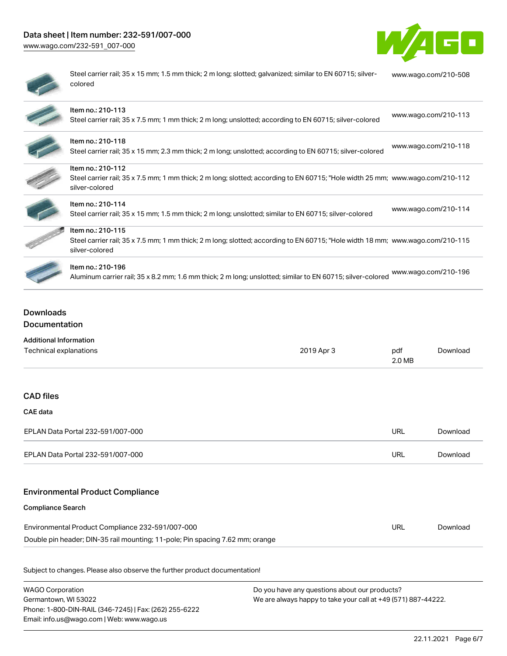# Data sheet | Item number: 232-591/007-000

[www.wago.com/232-591\\_007-000](http://www.wago.com/232-591_007-000)



| ۱ |
|---|
|   |
|   |

Steel carrier rail; 35 x 15 mm; 1.5 mm thick; 2 m long; slotted; galvanized; similar to EN 60715; silvercolored [www.wago.com/210-508](http://www.wago.com/210-508)

| Item no.: 210-113<br>Steel carrier rail; 35 x 7.5 mm; 1 mm thick; 2 m long; unslotted; according to EN 60715; silver-colored                                          | www.wago.com/210-113 |  |
|-----------------------------------------------------------------------------------------------------------------------------------------------------------------------|----------------------|--|
| Item no.: 210-118<br>Steel carrier rail; 35 x 15 mm; 2.3 mm thick; 2 m long; unslotted; according to EN 60715; silver-colored                                         | www.wago.com/210-118 |  |
| Item no.: 210-112<br>Steel carrier rail; 35 x 7.5 mm; 1 mm thick; 2 m long; slotted; according to EN 60715; "Hole width 25 mm; www.wago.com/210-112<br>silver-colored |                      |  |
| Item no.: 210-114<br>Steel carrier rail; 35 x 15 mm; 1.5 mm thick; 2 m long; unslotted; similar to EN 60715; silver-colored                                           | www.wago.com/210-114 |  |
| Item no.: 210-115<br>Steel carrier rail; 35 x 7.5 mm; 1 mm thick; 2 m long; slotted; according to EN 60715; "Hole width 18 mm; www.wago.com/210-115<br>silver-colored |                      |  |
| Item no.: 210-196<br>Aluminum carrier rail; 35 x 8.2 mm; 1.6 mm thick; 2 m long; unslotted; similar to EN 60715; silver-colored                                       | www.wago.com/210-196 |  |

## Downloads Documentation

| <b>Additional Information</b>                                                 |            |               |          |
|-------------------------------------------------------------------------------|------------|---------------|----------|
| Technical explanations                                                        | 2019 Apr 3 | pdf<br>2.0 MB | Download |
|                                                                               |            |               |          |
| <b>CAD files</b>                                                              |            |               |          |
| <b>CAE data</b>                                                               |            |               |          |
| EPLAN Data Portal 232-591/007-000                                             |            | <b>URL</b>    | Download |
| EPLAN Data Portal 232-591/007-000                                             |            | <b>URL</b>    | Download |
| <b>Environmental Product Compliance</b>                                       |            |               |          |
| <b>Compliance Search</b>                                                      |            |               |          |
| Environmental Product Compliance 232-591/007-000                              |            | <b>URL</b>    | Download |
| Double pin header; DIN-35 rail mounting; 11-pole; Pin spacing 7.62 mm; orange |            |               |          |
|                                                                               |            |               |          |
| Subject to changes. Please also observe the further product documentation!    |            |               |          |

WAGO Corporation Germantown, WI 53022 Phone: 1-800-DIN-RAIL (346-7245) | Fax: (262) 255-6222 Email: info.us@wago.com | Web: www.wago.us Do you have any questions about our products? We are always happy to take your call at +49 (571) 887-44222.